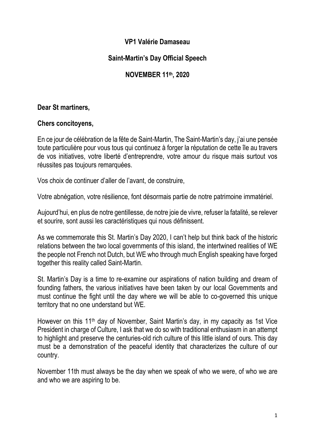## **VP1 Valérie Damaseau**

# **Saint-Martin's Day Official Speech**

## **NOVEMBER 11th, 2020**

### **Dear St martiners,**

### **Chers concitoyens,**

En ce jour de célébration de la fête de Saint-Martin, The Saint-Martin's day, j'ai une pensée toute particulière pour vous tous qui continuez à forger la réputation de cette île au travers de vos initiatives, votre liberté d'entreprendre, votre amour du risque mais surtout vos réussites pas toujours remarquées.

Vos choix de continuer d'aller de l'avant, de construire,

Votre abnégation, votre résilience, font désormais partie de notre patrimoine immatériel.

Aujourd'hui, en plus de notre gentillesse, de notre joie de vivre, refuser la fatalité, se relever et sourire, sont aussi les caractéristiques qui nous définissent.

As we commemorate this St. Martin's Day 2020, I can't help but think back of the historic relations between the two local governments of this island, the intertwined realities of WE the people not French not Dutch, but WE who through much English speaking have forged together this reality called Saint-Martin.

St. Martin's Day is a time to re-examine our aspirations of nation building and dream of founding fathers, the various initiatives have been taken by our local Governments and must continue the fight until the day where we will be able to co-governed this unique territory that no one understand but WE.

However on this 11th day of November, Saint Martin's day, in my capacity as 1st Vice President in charge of Culture, I ask that we do so with traditional enthusiasm in an attempt to highlight and preserve the centuries-old rich culture of this little island of ours. This day must be a demonstration of the peaceful identity that characterizes the culture of our country.

November 11th must always be the day when we speak of who we were, of who we are and who we are aspiring to be.